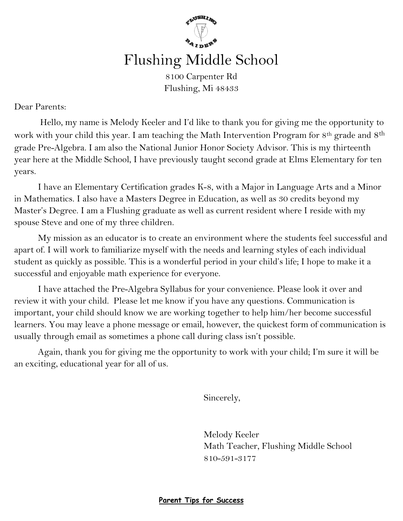

Flushing, Mi 48433

Dear Parents:

Hello, my name is Melody Keeler and I'd like to thank you for giving me the opportunity to work with your child this year. I am teaching the Math Intervention Program for 8<sup>th</sup> grade and 8<sup>th</sup> grade Pre-Algebra. I am also the National Junior Honor Society Advisor. This is my thirteenth year here at the Middle School, I have previously taught second grade at Elms Elementary for ten years.

I have an Elementary Certification grades K-8, with a Major in Language Arts and a Minor in Mathematics. I also have a Masters Degree in Education, as well as 30 credits beyond my Master's Degree. I am a Flushing graduate as well as current resident where I reside with my spouse Steve and one of my three children.

My mission as an educator is to create an environment where the students feel successful and apart of. I will work to familiarize myself with the needs and learning styles of each individual student as quickly as possible. This is a wonderful period in your child's life; I hope to make it a successful and enjoyable math experience for everyone.

I have attached the Pre-Algebra Syllabus for your convenience. Please look it over and review it with your child. Please let me know if you have any questions. Communication is important, your child should know we are working together to help him/her become successful learners. You may leave a phone message or email, however, the quickest form of communication is usually through email as sometimes a phone call during class isn't possible.

Again, thank you for giving me the opportunity to work with your child; I'm sure it will be an exciting, educational year for all of us.

Sincerely,

Melody Keeler Math Teacher, Flushing Middle School 810-591-3177

**Parent Tips for Success**